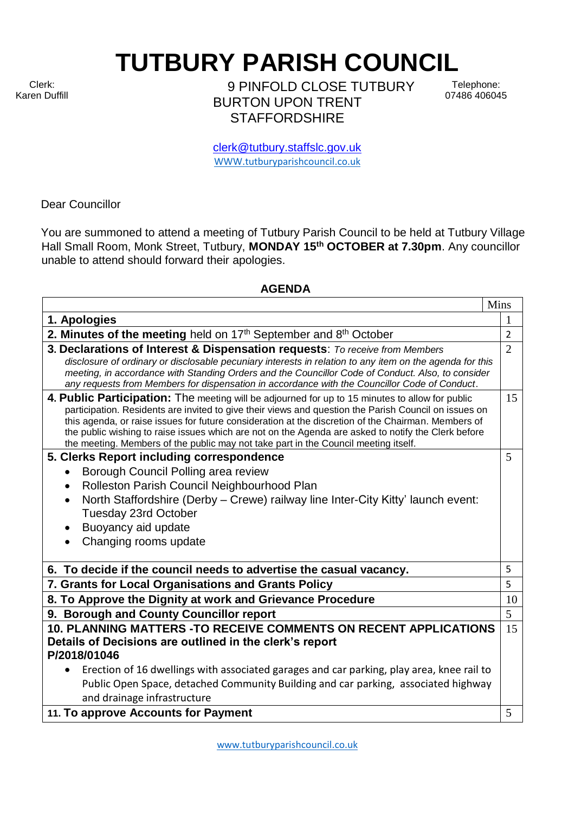Clerk: Karen Duffill

 $\Gamma$ 

**TUTBURY PARISH COUNCIL** 

9 PINFOLD CLOSE TUTBURY BURTON UPON TRENT **STAFFORDSHIRE** 

Telephone: 07486 406045

┓

clerk@tutbury.staffslc.gov.uk [WWW.tutburyparishcouncil.co.uk](http://www.tutburyparishcouncil.co.uk/)

Dear Councillor

You are summoned to attend a meeting of Tutbury Parish Council to be held at Tutbury Village Hall Small Room, Monk Street, Tutbury, **MONDAY 15 th OCTOBER at 7.30pm**. Any councillor unable to attend should forward their apologies.

## **AGENDA**

|                                                                                                                                                                                                                                                                                                                                                                                                                                                                                                               | Mins           |
|---------------------------------------------------------------------------------------------------------------------------------------------------------------------------------------------------------------------------------------------------------------------------------------------------------------------------------------------------------------------------------------------------------------------------------------------------------------------------------------------------------------|----------------|
| 1. Apologies                                                                                                                                                                                                                                                                                                                                                                                                                                                                                                  | 1              |
| 2. Minutes of the meeting held on $17th$ September and $8th$ October                                                                                                                                                                                                                                                                                                                                                                                                                                          | $\overline{2}$ |
| 3. Declarations of Interest & Dispensation requests: To receive from Members                                                                                                                                                                                                                                                                                                                                                                                                                                  | $\overline{2}$ |
| disclosure of ordinary or disclosable pecuniary interests in relation to any item on the agenda for this<br>meeting, in accordance with Standing Orders and the Councillor Code of Conduct. Also, to consider<br>any requests from Members for dispensation in accordance with the Councillor Code of Conduct.                                                                                                                                                                                                |                |
| 4. Public Participation: The meeting will be adjourned for up to 15 minutes to allow for public<br>participation. Residents are invited to give their views and question the Parish Council on issues on<br>this agenda, or raise issues for future consideration at the discretion of the Chairman. Members of<br>the public wishing to raise issues which are not on the Agenda are asked to notify the Clerk before<br>the meeting. Members of the public may not take part in the Council meeting itself. | 15             |
| 5. Clerks Report including correspondence                                                                                                                                                                                                                                                                                                                                                                                                                                                                     | 5              |
| Borough Council Polling area review                                                                                                                                                                                                                                                                                                                                                                                                                                                                           |                |
| Rolleston Parish Council Neighbourhood Plan<br>$\bullet$                                                                                                                                                                                                                                                                                                                                                                                                                                                      |                |
| North Staffordshire (Derby - Crewe) railway line Inter-City Kitty' launch event:                                                                                                                                                                                                                                                                                                                                                                                                                              |                |
| Tuesday 23rd October                                                                                                                                                                                                                                                                                                                                                                                                                                                                                          |                |
| Buoyancy aid update                                                                                                                                                                                                                                                                                                                                                                                                                                                                                           |                |
| Changing rooms update                                                                                                                                                                                                                                                                                                                                                                                                                                                                                         |                |
| 6. To decide if the council needs to advertise the casual vacancy.                                                                                                                                                                                                                                                                                                                                                                                                                                            | 5              |
| 7. Grants for Local Organisations and Grants Policy                                                                                                                                                                                                                                                                                                                                                                                                                                                           | 5              |
| 8. To Approve the Dignity at work and Grievance Procedure                                                                                                                                                                                                                                                                                                                                                                                                                                                     | 10             |
| 9. Borough and County Councillor report                                                                                                                                                                                                                                                                                                                                                                                                                                                                       | 5              |
| <b>10. PLANNING MATTERS -TO RECEIVE COMMENTS ON RECENT APPLICATIONS</b>                                                                                                                                                                                                                                                                                                                                                                                                                                       | 15             |
| Details of Decisions are outlined in the clerk's report                                                                                                                                                                                                                                                                                                                                                                                                                                                       |                |
| P/2018/01046                                                                                                                                                                                                                                                                                                                                                                                                                                                                                                  |                |
| Erection of 16 dwellings with associated garages and car parking, play area, knee rail to                                                                                                                                                                                                                                                                                                                                                                                                                     |                |
| Public Open Space, detached Community Building and car parking, associated highway                                                                                                                                                                                                                                                                                                                                                                                                                            |                |
| and drainage infrastructure                                                                                                                                                                                                                                                                                                                                                                                                                                                                                   |                |
| 11. To approve Accounts for Payment                                                                                                                                                                                                                                                                                                                                                                                                                                                                           | 5              |